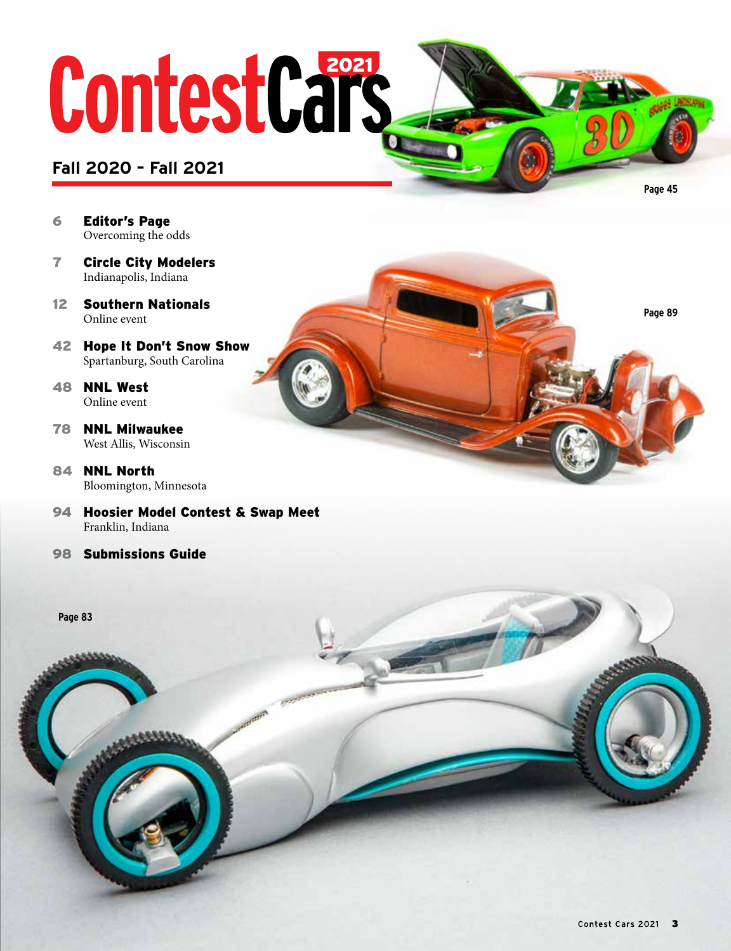# ContestCars

#### **Fall 2020 – Fall 2021**

- 6 Editor's Page Overcoming the odds
- 7 Circle City Modelers Indianapolis, Indiana
- 12 Southern Nationals Online event
- 42 Hope It Don't Snow Show Spartanburg, South Carolina
- 48 NNL West Online event
- 78 NNL Milwaukee West Allis, Wisconsin
- 84 NNL North Bloomington, Minnesota
- 94 Hoosier Model Contest & Swap Meet Franklin, Indiana
- 98 Submissions Guide



**Page 89**

**Page 45**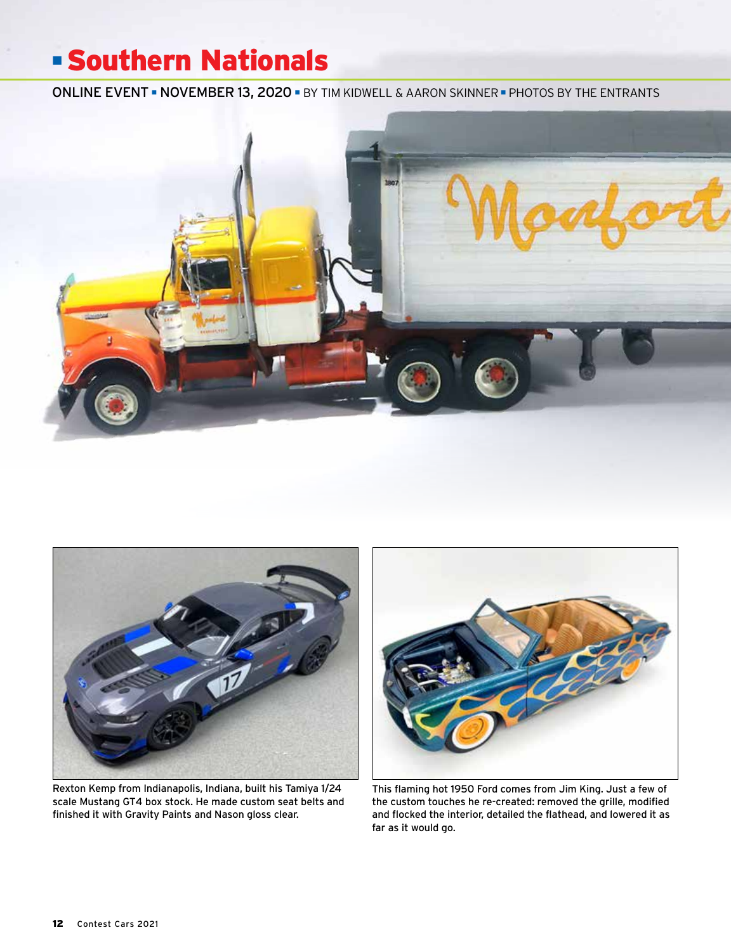### ■ Southern Nationals

ONLINE EVENT ■ NOVEMBER 13, 2020 ■ BY TIM KIDWELL & AARON SKINNER ■ PHOTOS BY THE ENTRANTS





Rexton Kemp from Indianapolis, Indiana, built his Tamiya 1/24 scale Mustang GT4 box stock. He made custom seat belts and finished it with Gravity Paints and Nason gloss clear.



This flaming hot 1950 Ford comes from Jim King. Just a few of the custom touches he re-created: removed the grille, modified and flocked the interior, detailed the flathead, and lowered it as far as it would go.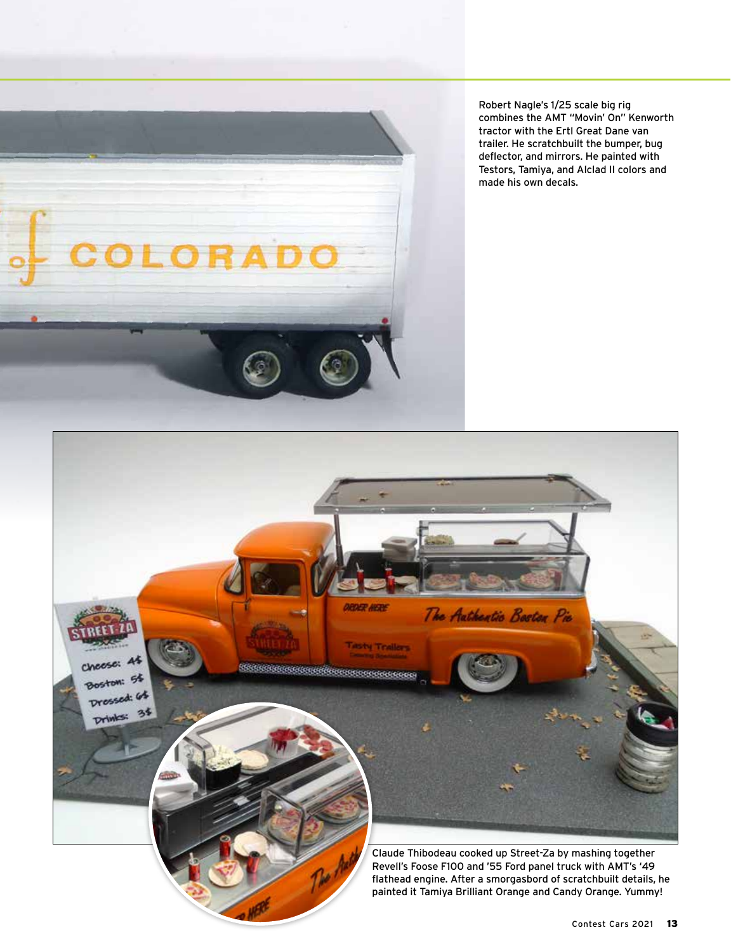

Robert Nagle's 1/25 scale big rig combines the AMT "Movin' On" Kenworth tractor with the Ertl Great Dane van trailer. He scratchbuilt the bumper, bug deflector, and mirrors. He painted with Testors, Tamiya, and Alclad II colors and made his own decals.

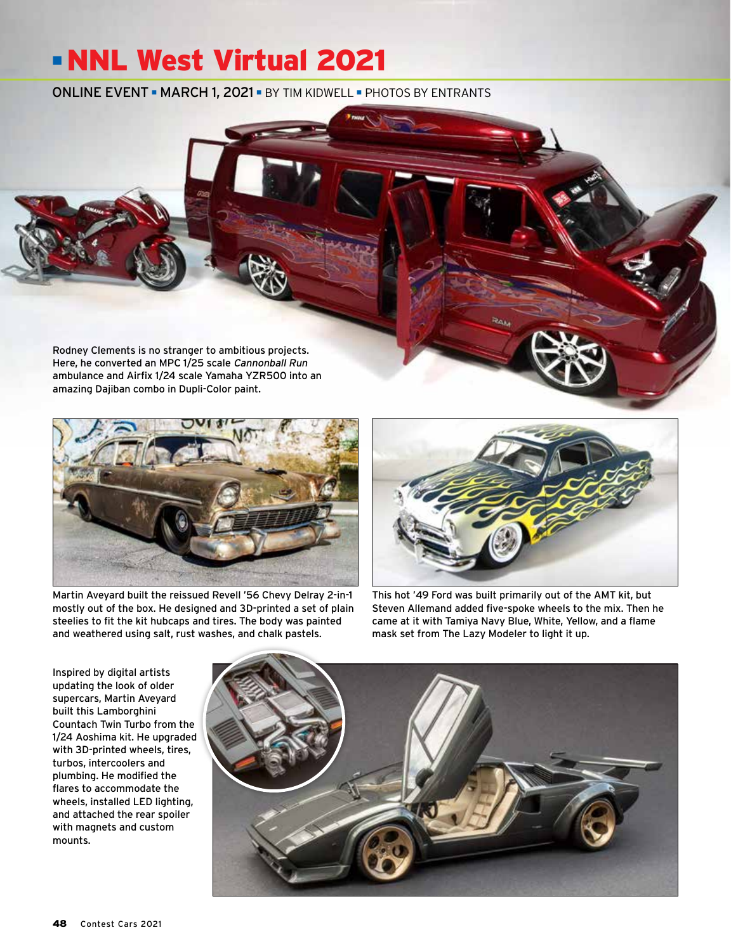## ■ NNL West Virtual 2021

ONLINE EVENT ■ MARCH 1, 2021 ■ BY TIM KIDWELL ■ PHOTOS BY ENTRANTS

Rodney Clements is no stranger to ambitious projects. Here, he converted an MPC 1/25 scale Cannonball Run ambulance and Airfix 1/24 scale Yamaha YZR500 into an amazing Dajiban combo in Dupli-Color paint.



Martin Aveyard built the reissued Revell '56 Chevy Delray 2-in-1 mostly out of the box. He designed and 3D-printed a set of plain steelies to fit the kit hubcaps and tires. The body was painted and weathered using salt, rust washes, and chalk pastels.



This hot '49 Ford was built primarily out of the AMT kit, but Steven Allemand added five-spoke wheels to the mix. Then he came at it with Tamiya Navy Blue, White, Yellow, and a flame mask set from The Lazy Modeler to light it up.

Inspired by digital artists updating the look of older supercars, Martin Aveyard built this Lamborghini Countach Twin Turbo from the 1/24 Aoshima kit. He upgraded with 3D-printed wheels, tires, turbos, intercoolers and plumbing. He modified the flares to accommodate the wheels, installed LED lighting, and attached the rear spoiler with magnets and custom mounts.

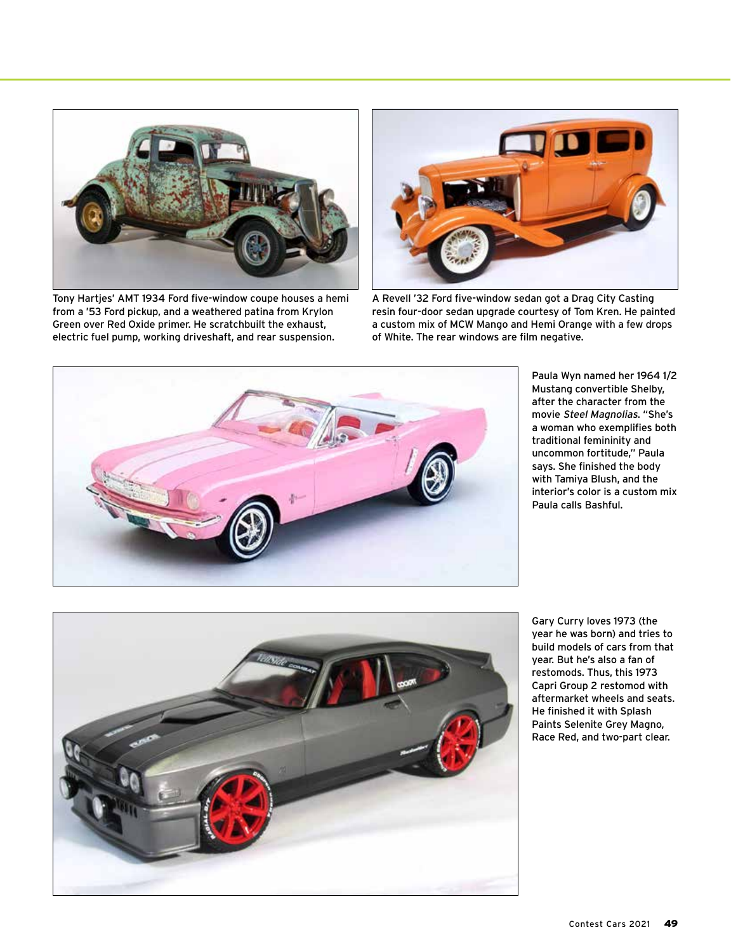

Tony Hartjes' AMT 1934 Ford five-window coupe houses a hemi from a '53 Ford pickup, and a weathered patina from Krylon Green over Red Oxide primer. He scratchbuilt the exhaust, electric fuel pump, working driveshaft, and rear suspension.



A Revell '32 Ford five-window sedan got a Drag City Casting resin four-door sedan upgrade courtesy of Tom Kren. He painted a custom mix of MCW Mango and Hemi Orange with a few drops of White. The rear windows are film negative.



Paula Wyn named her 1964 1/2 Mustang convertible Shelby, after the character from the movie Steel Magnolias. "She's a woman who exemplifies both traditional femininity and uncommon fortitude," Paula says. She finished the body with Tamiya Blush, and the interior's color is a custom mix Paula calls Bashful.



Gary Curry loves 1973 (the year he was born) and tries to build models of cars from that year. But he's also a fan of restomods. Thus, this 1973 Capri Group 2 restomod with aftermarket wheels and seats. He finished it with Splash Paints Selenite Grey Magno, Race Red, and two-part clear.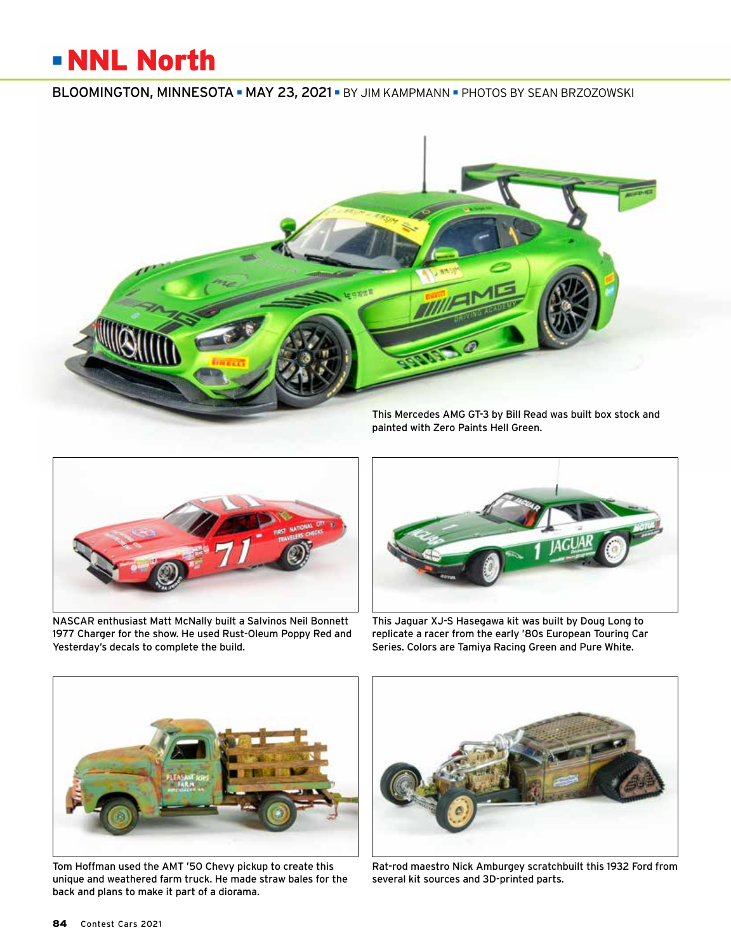#### ■ NNL North

#### BLOOMINGTON, MINNESOTA ■ MAY 23, 2021 ■ BY JIM KAMPMANN ■ PHOTOS BY SEAN BRZOZOWSKI





NASCAR enthusiast Matt McNally built a Salvinos Neil Bonnett 1977 Charger for the show. He used Rust-Oleum Poppy Red and Yesterday's decals to complete the build.



This Jaguar XJ-S Hasegawa kit was built by Doug Long to replicate a racer from the early '80s European Touring Car Series. Colors are Tamiya Racing Green and Pure White.



Tom Hoffman used the AMT '50 Chevy pickup to create this unique and weathered farm truck. He made straw bales for the back and plans to make it part of a diorama.



Rat-rod maestro Nick Amburgey scratchbuilt this 1932 Ford from several kit sources and 3D-printed parts.